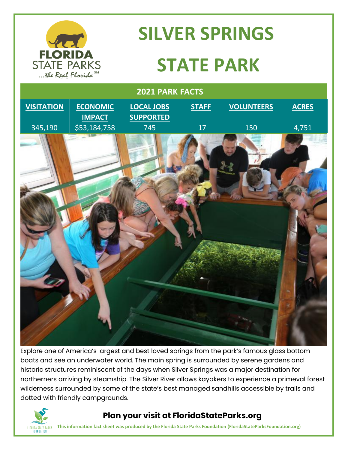

# **SILVER SPRINGS STATE PARK**



Explore one of America's largest and best loved springs from the park's famous glass bottom boats and see an underwater world. The main spring is surrounded by serene gardens and historic structures reminiscent of the days when Silver Springs was a major destination for northerners arriving by steamship. The Silver River allows kayakers to experience a primeval forest wilderness surrounded by some of the state's best managed sandhills accessible by trails and dotted with friendly campgrounds.



#### **Plan your visit at FloridaStateParks.org**

**This information fact sheet was produced by the Florida State Parks Foundation (FloridaStateParksFoundation.org)**